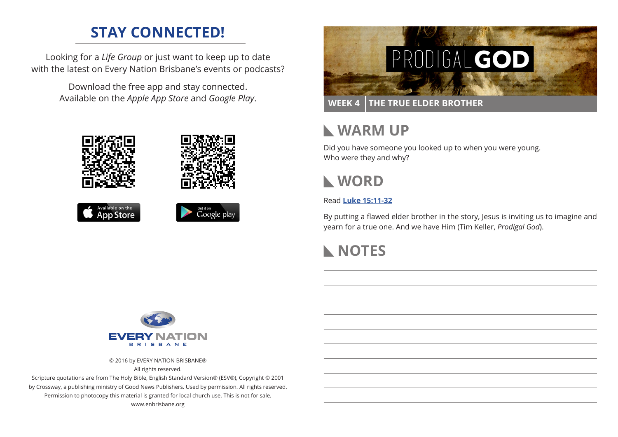# **STAY CONNECTED!**

Looking for a *Life Group* or just want to keep up to date with the latest on Every Nation Brisbane's events or podcasts?

> Download the free app and stay connected. Available on the *Apple App Store* and *Google Play*.





### **WEEK 4 THE TRUE ELDER BROTHER**

# **WARM UP**

Did you have someone you looked up to when you were young. Who were they and why?



### Read **[Luke 15:11-32](https://www.biblegateway.com/passage/?search=Luke+15%3A11-32&version=ESV)**

By putting a flawed elder brother in the story, Jesus is inviting us to imagine and yearn for a true one. And we have Him (Tim Keller, *Prodigal God*).

# **NOTES**



© 2016 by EVERY NATION BRISBANE®

All rights reserved.

Scripture quotations are from The Holy Bible, English Standard Version® (ESV®), Copyright © 2001 by Crossway, a publishing ministry of Good News Publishers. Used by permission. All rights reserved. Permission to photocopy this material is granted for local church use. This is not for sale. www.enbrisbane.org